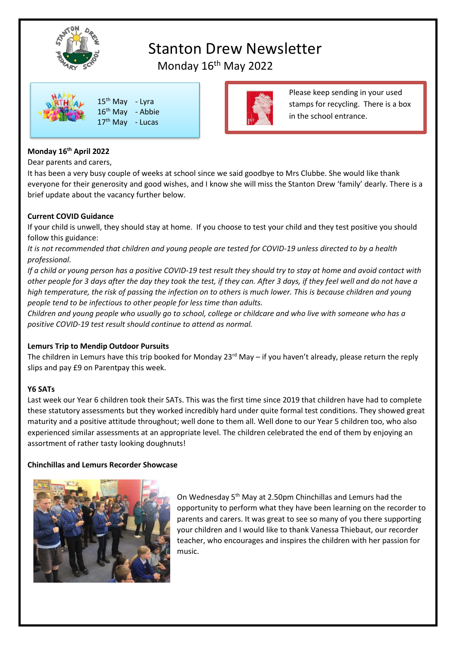

# Stanton Drew Newsletter

Please keep sending in your used stamps for recycling. There is a box

in the school entrance.

Monday 16<sup>th</sup> May 2022



# **Monday 16th April 2022**

Dear parents and carers,

It has been a very busy couple of weeks at school since we said goodbye to Mrs Clubbe. She would like thank everyone for their generosity and good wishes, and I know she will miss the Stanton Drew 'family' dearly. There is a brief update about the vacancy further below.

## **Current COVID Guidance**

If your child is unwell, they should stay at home. If you choose to test your child and they test positive you should follow this guidance:

*It is not recommended that children and young people are tested for COVID-19 unless directed to by a health professional.*

*If a child or young person has a positive COVID-19 test result they should try to stay at home and avoid contact with other people for 3 days after the day they took the test, if they can. After 3 days, if they feel well and do not have a high temperature, the risk of passing the infection on to others is much lower. This is because children and young people tend to be infectious to other people for less time than adults.*

*Children and young people who usually go to school, college or childcare and who live with someone who has a positive COVID-19 test result should continue to attend as normal.*

## **Lemurs Trip to Mendip Outdoor Pursuits**

The children in Lemurs have this trip booked for Monday  $23^{\text{rd}}$  May – if you haven't already, please return the reply slips and pay £9 on Parentpay this week.

# **Y6 SATs**

Last week our Year 6 children took their SATs. This was the first time since 2019 that children have had to complete these statutory assessments but they worked incredibly hard under quite formal test conditions. They showed great maturity and a positive attitude throughout; well done to them all. Well done to our Year 5 children too, who also experienced similar assessments at an appropriate level. The children celebrated the end of them by enjoying an assortment of rather tasty looking doughnuts!

## **Chinchillas and Lemurs Recorder Showcase**



On Wednesday 5th May at 2.50pm Chinchillas and Lemurs had the opportunity to perform what they have been learning on the recorder to parents and carers. It was great to see so many of you there supporting your children and I would like to thank Vanessa Thiebaut, our recorder teacher, who encourages and inspires the children with her passion for music.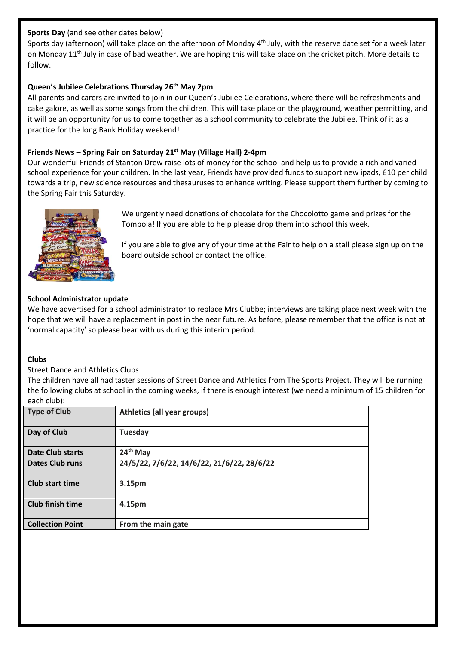# **Sports Day** (and see other dates below)

Sports day (afternoon) will take place on the afternoon of Monday 4<sup>th</sup> July, with the reserve date set for a week later on Monday 11<sup>th</sup> July in case of bad weather. We are hoping this will take place on the cricket pitch. More details to follow.

# **Queen's Jubilee Celebrations Thursday 26th May 2pm**

All parents and carers are invited to join in our Queen's Jubilee Celebrations, where there will be refreshments and cake galore, as well as some songs from the children. This will take place on the playground, weather permitting, and it will be an opportunity for us to come together as a school community to celebrate the Jubilee. Think of it as a practice for the long Bank Holiday weekend!

# **Friends News – Spring Fair on Saturday 21st May (Village Hall) 2-4pm**

Our wonderful Friends of Stanton Drew raise lots of money for the school and help us to provide a rich and varied school experience for your children. In the last year, Friends have provided funds to support new ipads, £10 per child towards a trip, new science resources and thesauruses to enhance writing. Please support them further by coming to the Spring Fair this Saturday.



We urgently need donations of chocolate for the Chocolotto game and prizes for the Tombola! If you are able to help please drop them into school this week.

If you are able to give any of your time at the Fair to help on a stall please sign up on the board outside school or contact the office.

# **School Administrator update**

We have advertised for a school administrator to replace Mrs Clubbe; interviews are taking place next week with the hope that we will have a replacement in post in the near future. As before, please remember that the office is not at 'normal capacity' so please bear with us during this interim period.

# **Clubs**

## Street Dance and Athletics Clubs

The children have all had taster sessions of Street Dance and Athletics from The Sports Project. They will be running the following clubs at school in the coming weeks, if there is enough interest (we need a minimum of 15 children for each club):

| <b>Type of Club</b>     | <b>Athletics (all year groups)</b>         |
|-------------------------|--------------------------------------------|
| Day of Club             | <b>Tuesday</b>                             |
| <b>Date Club starts</b> | $24th$ May                                 |
| <b>Dates Club runs</b>  | 24/5/22, 7/6/22, 14/6/22, 21/6/22, 28/6/22 |
| <b>Club start time</b>  | 3.15pm                                     |
| <b>Club finish time</b> | 4.15pm                                     |
| <b>Collection Point</b> | From the main gate                         |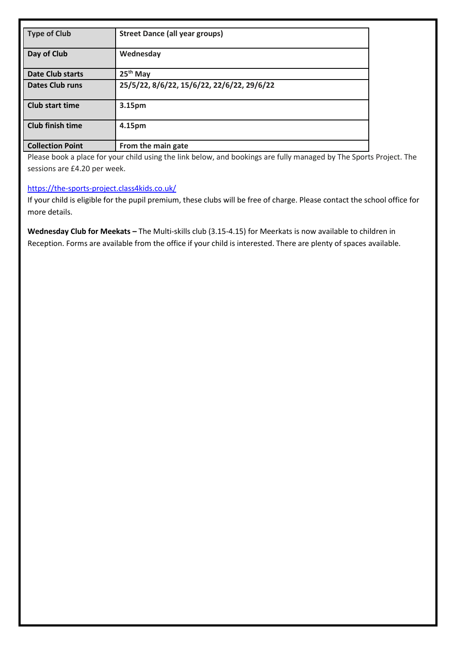| <b>Type of Club</b>     | <b>Street Dance (all year groups)</b>      |
|-------------------------|--------------------------------------------|
| Day of Club             | Wednesday                                  |
| <b>Date Club starts</b> | $25th$ May                                 |
| <b>Dates Club runs</b>  | 25/5/22, 8/6/22, 15/6/22, 22/6/22, 29/6/22 |
| <b>Club start time</b>  | 3.15pm                                     |
| <b>Club finish time</b> | 4.15pm                                     |
| <b>Collection Point</b> | From the main gate                         |

Please book a place for your child using the link below, and bookings are fully managed by The Sports Project. The sessions are £4.20 per week.

## <https://the-sports-project.class4kids.co.uk/>

If your child is eligible for the pupil premium, these clubs will be free of charge. Please contact the school office for more details.

**Wednesday Club for Meekats –** The Multi-skills club (3.15-4.15) for Meerkats is now available to children in Reception. Forms are available from the office if your child is interested. There are plenty of spaces available.